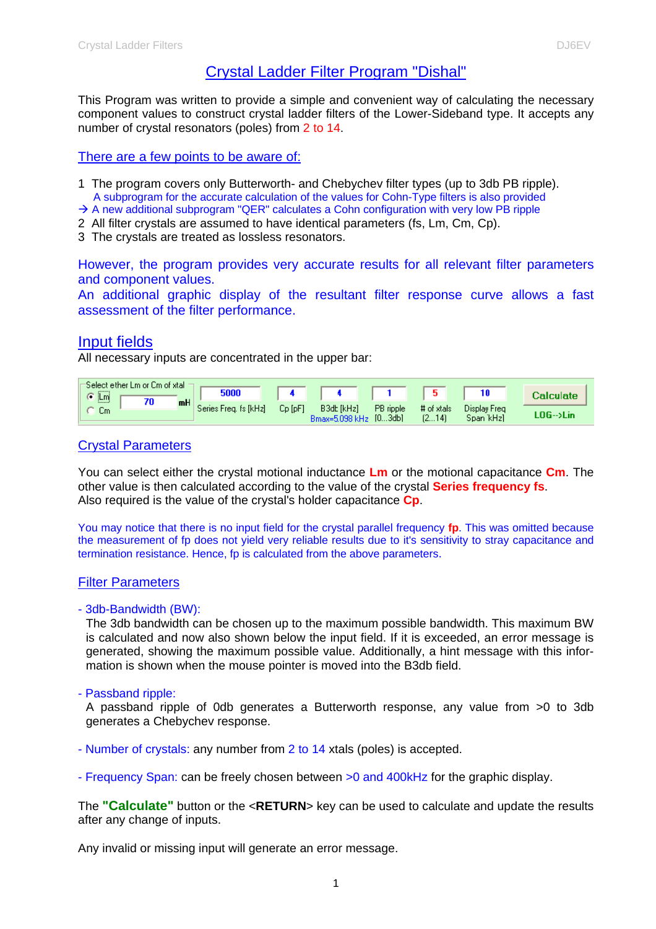## Crystal Ladder Filter Program "Dishal"

This Program was written to provide a simple and convenient way of calculating the necessary component values to construct crystal ladder filters of the Lower-Sideband type. It accepts any number of crystal resonators (poles) from 2 to 14.

#### There are a few points to be aware of:

- 1 The program covers only Butterworth- and Chebychev filter types (up to 3db PB ripple). A subprogram for the accurate calculation of the values for Cohn-Type filters is also provided
- $\rightarrow$  A new additional subprogram "QER" calculates a Cohn configuration with very low PB ripple
- 2 All filter crystals are assumed to have identical parameters (fs, Lm, Cm, Cp).
- 3 The crystals are treated as lossless resonators.

However, the program provides very accurate results for all relevant filter parameters and component values.

An additional graphic display of the resultant filter response curve allows a fast assessment of the filter performance.

### Input fields

All necessary inputs are concentrated in the upper bar:

| G Lm             | -Select ether Lm or Cm of xtal . |    | 5000                  |           |                                     |           |                     |                           | <b>Calculate</b> |
|------------------|----------------------------------|----|-----------------------|-----------|-------------------------------------|-----------|---------------------|---------------------------|------------------|
| 1.1.1.1.7<br>Um. |                                  | mH | Series Freg. fs [kHz] | $Cp$ [pF] | B3dt [kHz]<br>Bmax=5.098 kHz [03db] | PB ripple | # of xtals<br>[214] | Display Freg<br>Span kHzl | LOG-->Lini       |

### Crystal Parameters

You can select either the crystal motional inductance **Lm** or the motional capacitance **Cm**. The other value is then calculated according to the value of the crystal **Series frequency fs**. Also required is the value of the crystal's holder capacitance **Cp**.

You may notice that there is no input field for the crystal parallel frequency **fp**. This was omitted because the measurement of fp does not yield very reliable results due to it's sensitivity to stray capacitance and termination resistance. Hence, fp is calculated from the above parameters.

### Filter Parameters

#### - 3db-Bandwidth (BW):

The 3db bandwidth can be chosen up to the maximum possible bandwidth. This maximum BW is calculated and now also shown below the input field. If it is exceeded, an error message is generated, showing the maximum possible value. Additionally, a hint message with this information is shown when the mouse pointer is moved into the B3db field.

#### - Passband ripple:

A passband ripple of 0db generates a Butterworth response, any value from >0 to 3db generates a Chebychev response.

- Number of crystals: any number from 2 to 14 xtals (poles) is accepted.
- Frequency Span: can be freely chosen between >0 and 400kHz for the graphic display.

The **"Calculate"** button or the <**RETURN**> key can be used to calculate and update the results after any change of inputs.

Any invalid or missing input will generate an error message.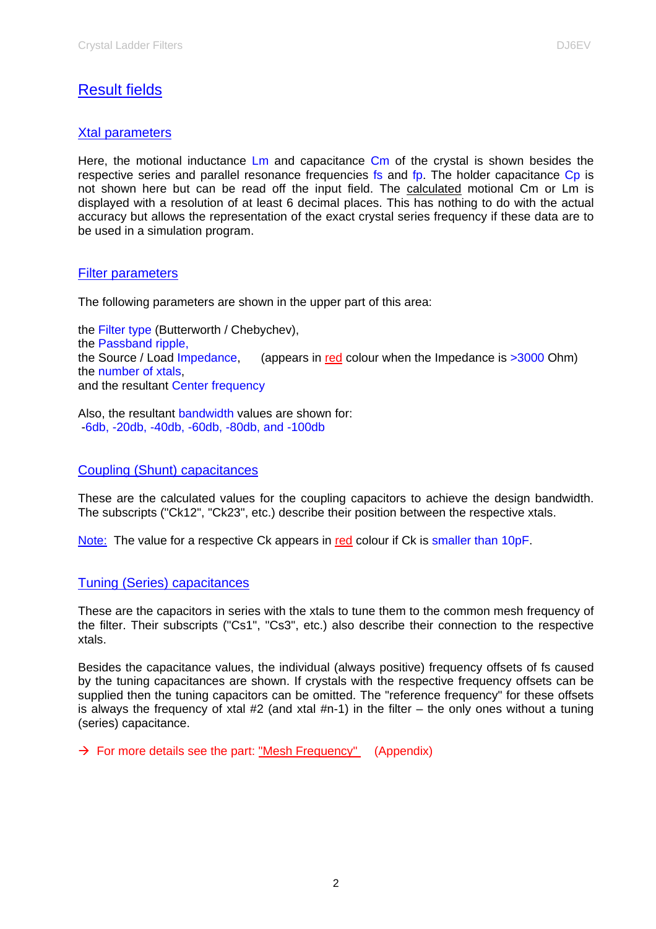# Result fields

### Xtal parameters

Here, the motional inductance  $\mathsf{Lm}$  and capacitance  $\mathsf{Cm}$  of the crystal is shown besides the respective series and parallel resonance frequencies fs and fp. The holder capacitance Cp is not shown here but can be read off the input field. The calculated motional Cm or Lm is displayed with a resolution of at least 6 decimal places. This has nothing to do with the actual accuracy but allows the representation of the exact crystal series frequency if these data are to be used in a simulation program.

### Filter parameters

The following parameters are shown in the upper part of this area:

the Filter type (Butterworth / Chebychev), the Passband ripple, the Source / Load Impedance, (appears in red colour when the Impedance is  $>3000$  Ohm) the number of xtals, and the resultant Center frequency

Also, the resultant bandwidth values are shown for: -6db, -20db, -40db, -60db, -80db, and -100db

### Coupling (Shunt) capacitances

These are the calculated values for the coupling capacitors to achieve the design bandwidth. The subscripts ("Ck12", "Ck23", etc.) describe their position between the respective xtals.

Note: The value for a respective Ck appears in red colour if Ck is smaller than 10pF.

### Tuning (Series) capacitances

These are the capacitors in series with the xtals to tune them to the common mesh frequency of the filter. Their subscripts ("Cs1", "Cs3", etc.) also describe their connection to the respective xtals.

Besides the capacitance values, the individual (always positive) frequency offsets of fs caused by the tuning capacitances are shown. If crystals with the respective frequency offsets can be supplied then the tuning capacitors can be omitted. The "reference frequency" for these offsets is always the frequency of xtal  $#2$  (and xtal  $#n-1$ ) in the filter – the only ones without a tuning (series) capacitance.

 $\rightarrow$  For more details see the part: "Mesh Frequency" (Appendix)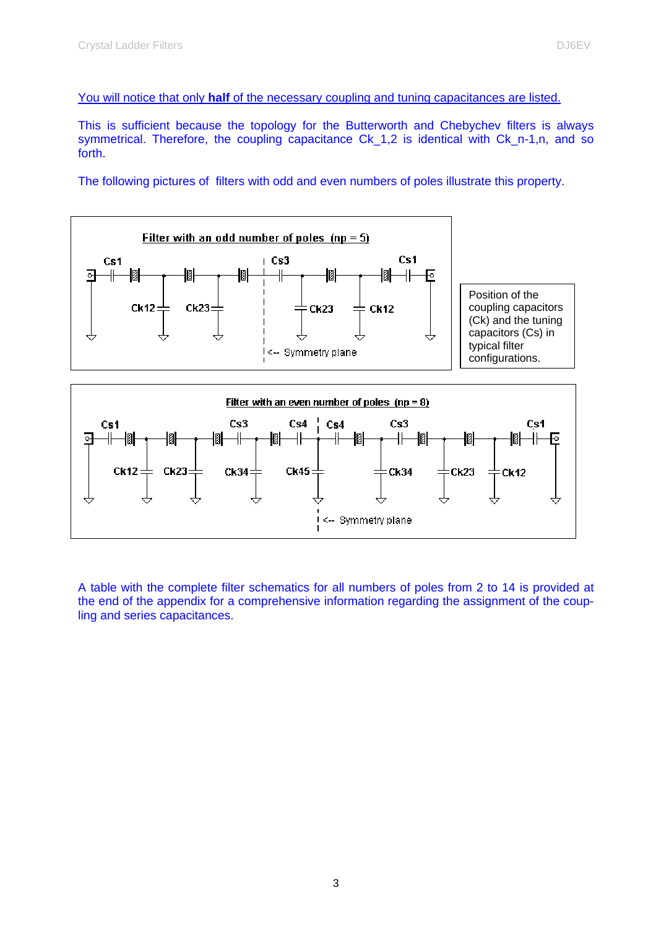This is sufficient because the topology for the Butterworth and Chebychev filters is always symmetrical. Therefore, the coupling capacitance Ck 1,2 is identical with Ck n-1,n, and so forth.

The following pictures of filters with odd and even numbers of poles illustrate this property.



A table with the complete filter schematics for all numbers of poles from 2 to 14 is provided at the end of the appendix for a comprehensive information regarding the assignment of the coupling and series capacitances.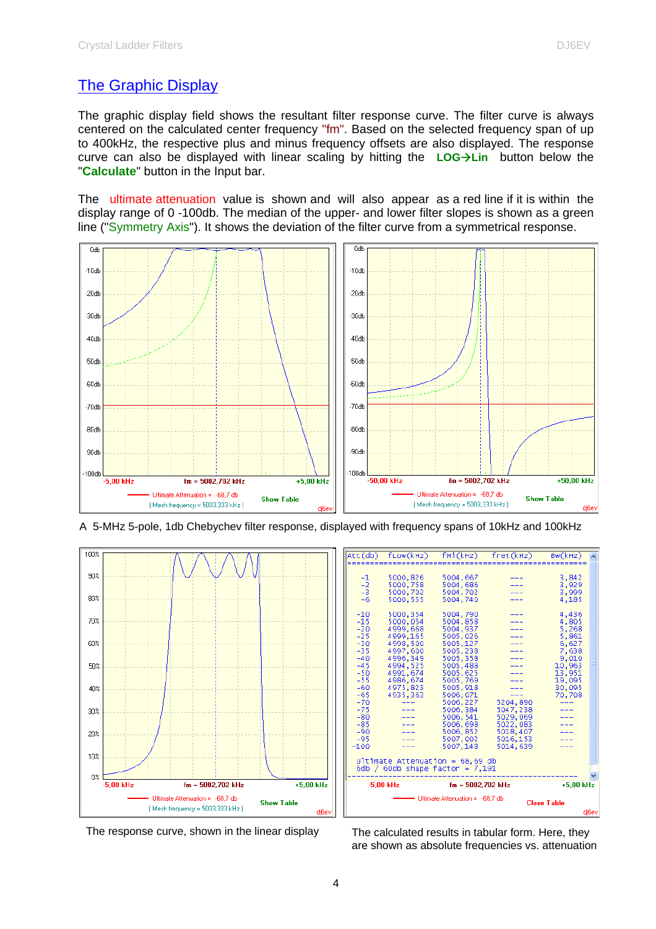# The Graphic Display

The graphic display field shows the resultant filter response curve. The filter curve is always centered on the calculated center frequency "fm". Based on the selected frequency span of up to 400kHz, the respective plus and minus frequency offsets are also displayed. The response curve can also be displayed with linear scaling by hitting the **LOG->Lin** button below the "**Calculate**" button in the Input bar.

The ultimate attenuation value is shown and will also appear as a red line if it is within the display range of 0 -100db. The median of the upper- and lower filter slopes is shown as a green line ("Symmetry Axis"). It shows the deviation of the filter curve from a symmetrical response.







|                                                                                                                                                                                                              |                                                                                                                                                                                                |                                                                                                                                                                                                                                                                        | Att(db) fLow(kHz) fHi(kHz) fret(kHz) Bw(kHz)                         |                                                                                                                                                   |  |  |  |
|--------------------------------------------------------------------------------------------------------------------------------------------------------------------------------------------------------------|------------------------------------------------------------------------------------------------------------------------------------------------------------------------------------------------|------------------------------------------------------------------------------------------------------------------------------------------------------------------------------------------------------------------------------------------------------------------------|----------------------------------------------------------------------|---------------------------------------------------------------------------------------------------------------------------------------------------|--|--|--|
| $\frac{-1}{-2}$<br>$\frac{-3}{-2}$<br>$-6$<br>$-10$<br>$-15$<br>$-20$<br>$-25$<br>$-30$<br>$-35$<br>$-40$<br>$-45$<br>$-50$<br>$-55$<br>$-60$<br>$-65$<br>$-70$<br>$-75$<br>$-80$<br>$-85$<br>$-90$<br>$-95$ | 5000,826<br>5000,758<br>5000,702<br>5000.555<br>5000, 354<br>5000,054<br>4999,668<br>4999,165<br>4998,500<br>4997,600<br>4996,349<br>4994, 525<br>4991.674<br>4986,674<br>4975,823<br>4935.363 | 5004,667<br>5004,686<br>5004,702<br>5004.740<br>5004,790<br>5004,858<br>5004,937<br>5005,026<br>5005,127<br>5005,238<br>5005,358<br>5005,488<br>5005,625<br>5005,769<br>5005, 918<br>5006,071<br>5006,227<br>5006,384<br>5006, 541<br>5006,698<br>5006,852<br>5007,002 | 5204,890<br>5047,238<br>5029,069<br>5022,083<br>5018,407<br>5016,153 | 3,842<br>3,929<br>3,999<br>4.185<br>4,436<br>4,805<br>5,268<br>5,861<br>6,627<br>7,638<br>9,010<br>10.963<br>13,951<br>19,095<br>30,095<br>70.708 |  |  |  |
| $-100$                                                                                                                                                                                                       |                                                                                                                                                                                                | 5007.148                                                                                                                                                                                                                                                               | 5014.639                                                             |                                                                                                                                                   |  |  |  |
| Ultimate Attenuation = $68,69$ db<br>6db / 60db shape factor = $7,191$                                                                                                                                       |                                                                                                                                                                                                |                                                                                                                                                                                                                                                                        |                                                                      |                                                                                                                                                   |  |  |  |
|                                                                                                                                                                                                              | $-5.00$ kHz                                                                                                                                                                                    | $fm = 5002.702$ kHz                                                                                                                                                                                                                                                    |                                                                      | $+5.00$ kHz                                                                                                                                       |  |  |  |
| Ultimate Attenuation = -68,7 db<br><b>Close Table</b>                                                                                                                                                        |                                                                                                                                                                                                |                                                                                                                                                                                                                                                                        |                                                                      |                                                                                                                                                   |  |  |  |
|                                                                                                                                                                                                              |                                                                                                                                                                                                |                                                                                                                                                                                                                                                                        |                                                                      | di6ev                                                                                                                                             |  |  |  |

The response curve, shown in the linear display The calculated results in tabular form. Here, they are shown as absolute frequencies vs. attenuation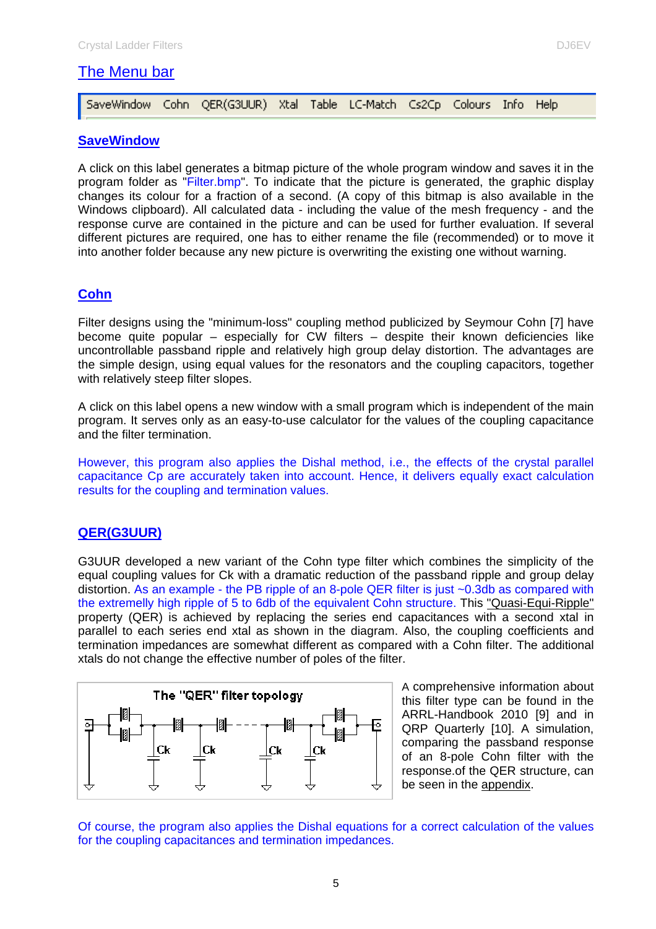# The Menu bar

| SaveWindow Cohn QER(G3UUR) Xtal Table LC-Match Cs2Cp Colours Info Help |  |  |  |  |  |  |  |  |  |
|------------------------------------------------------------------------|--|--|--|--|--|--|--|--|--|
|------------------------------------------------------------------------|--|--|--|--|--|--|--|--|--|

### **SaveWindow**

A click on this label generates a bitmap picture of the whole program window and saves it in the program folder as "Filter.bmp". To indicate that the picture is generated, the graphic display changes its colour for a fraction of a second. (A copy of this bitmap is also available in the Windows clipboard). All calculated data - including the value of the mesh frequency - and the response curve are contained in the picture and can be used for further evaluation. If several different pictures are required, one has to either rename the file (recommended) or to move it into another folder because any new picture is overwriting the existing one without warning.

## **Cohn**

Filter designs using the "minimum-loss" coupling method publicized by Seymour Cohn [7] have become quite popular – especially for CW filters – despite their known deficiencies like uncontrollable passband ripple and relatively high group delay distortion. The advantages are the simple design, using equal values for the resonators and the coupling capacitors, together with relatively steep filter slopes.

A click on this label opens a new window with a small program which is independent of the main program. It serves only as an easy-to-use calculator for the values of the coupling capacitance and the filter termination.

However, this program also applies the Dishal method, i.e., the effects of the crystal parallel capacitance Cp are accurately taken into account. Hence, it delivers equally exact calculation results for the coupling and termination values.

### **QER(G3UUR)**

G3UUR developed a new variant of the Cohn type filter which combines the simplicity of the equal coupling values for Ck with a dramatic reduction of the passband ripple and group delay distortion. As an example - the PB ripple of an 8-pole QER filter is just ~0.3db as compared with the extremelly high ripple of 5 to 6db of the equivalent Cohn structure. This "Quasi-Equi-Ripple" property (QER) is achieved by replacing the series end capacitances with a second xtal in parallel to each series end xtal as shown in the diagram. Also, the coupling coefficients and termination impedances are somewhat different as compared with a Cohn filter. The additional xtals do not change the effective number of poles of the filter.



A comprehensive information about this filter type can be found in the ARRL-Handbook 2010 [9] and in QRP Quarterly [10]. A simulation, comparing the passband response of an 8-pole Cohn filter with the response.of the QER structure, can be seen in the appendix.

Of course, the program also applies the Dishal equations for a correct calculation of the values for the coupling capacitances and termination impedances.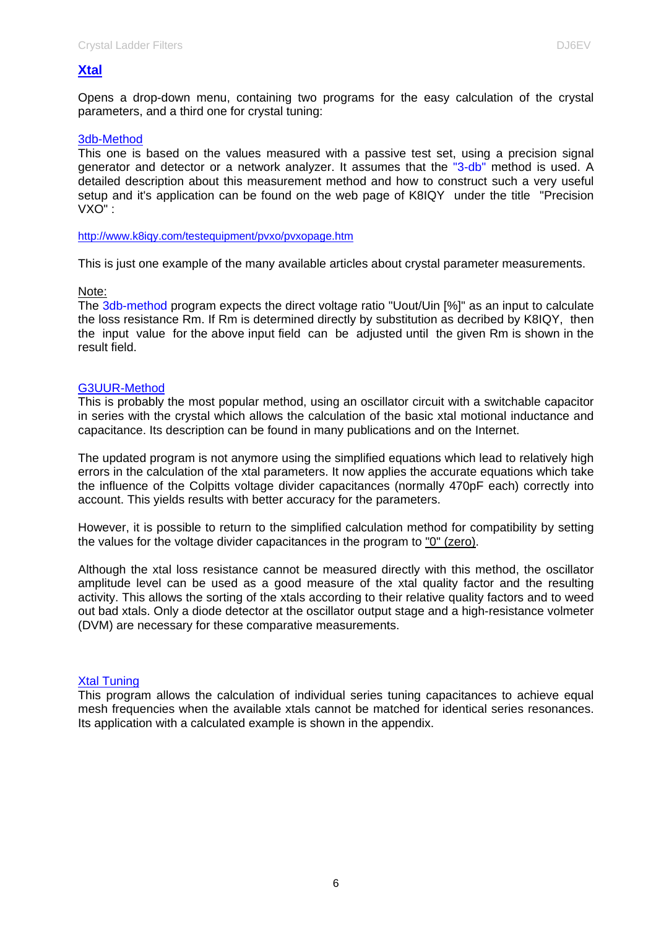### **Xtal**

Opens a drop-down menu, containing two programs for the easy calculation of the crystal parameters, and a third one for crystal tuning:

#### 3db-Method

This one is based on the values measured with a passive test set, using a precision signal generator and detector or a network analyzer. It assumes that the "3-db" method is used. A detailed description about this measurement method and how to construct such a very useful setup and it's application can be found on the web page of K8IQY under the title "Precision VXO" :

#### http://www.k8iqy.com/testequipment/pvxo/pvxopage.htm

This is just one example of the many available articles about crystal parameter measurements.

#### Note:

The 3db-method program expects the direct voltage ratio "Uout/Uin [%]" as an input to calculate the loss resistance Rm. If Rm is determined directly by substitution as decribed by K8IQY, then the input value for the above input field can be adjusted until the given Rm is shown in the result field.

#### G3UUR-Method

This is probably the most popular method, using an oscillator circuit with a switchable capacitor in series with the crystal which allows the calculation of the basic xtal motional inductance and capacitance. Its description can be found in many publications and on the Internet.

The updated program is not anymore using the simplified equations which lead to relatively high errors in the calculation of the xtal parameters. It now applies the accurate equations which take the influence of the Colpitts voltage divider capacitances (normally 470pF each) correctly into account. This yields results with better accuracy for the parameters.

However, it is possible to return to the simplified calculation method for compatibility by setting the values for the voltage divider capacitances in the program to "0" (zero).

Although the xtal loss resistance cannot be measured directly with this method, the oscillator amplitude level can be used as a good measure of the xtal quality factor and the resulting activity. This allows the sorting of the xtals according to their relative quality factors and to weed out bad xtals. Only a diode detector at the oscillator output stage and a high-resistance volmeter (DVM) are necessary for these comparative measurements.

#### Xtal Tuning

This program allows the calculation of individual series tuning capacitances to achieve equal mesh frequencies when the available xtals cannot be matched for identical series resonances. Its application with a calculated example is shown in the appendix.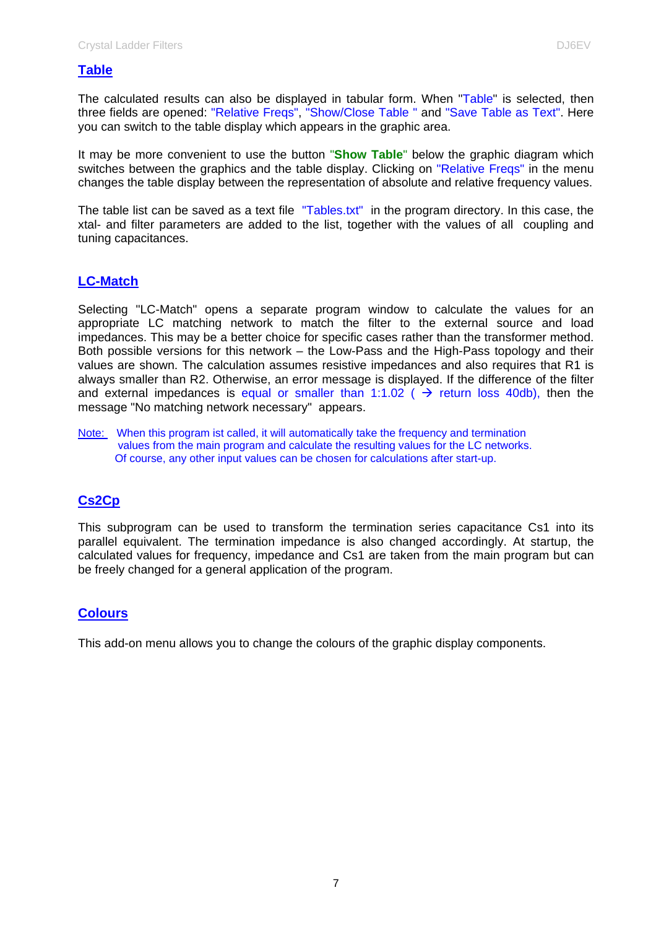### **Table**

The calculated results can also be displayed in tabular form. When "Table" is selected, then three fields are opened: "Relative Freqs", "Show/Close Table " and "Save Table as Text". Here you can switch to the table display which appears in the graphic area.

It may be more convenient to use the button "**Show Table**" below the graphic diagram which switches between the graphics and the table display. Clicking on "Relative Freqs" in the menu changes the table display between the representation of absolute and relative frequency values.

The table list can be saved as a text file "Tables.txt" in the program directory. In this case, the xtal- and filter parameters are added to the list, together with the values of all coupling and tuning capacitances.

### **LC-Match**

Selecting "LC-Match" opens a separate program window to calculate the values for an appropriate LC matching network to match the filter to the external source and load impedances. This may be a better choice for specific cases rather than the transformer method. Both possible versions for this network – the Low-Pass and the High-Pass topology and their values are shown. The calculation assumes resistive impedances and also requires that R1 is always smaller than R2. Otherwise, an error message is displayed. If the difference of the filter and external impedances is equal or smaller than 1:1.02 ( $\rightarrow$  return loss 40db), then the message "No matching network necessary" appears.

Note: When this program ist called, it will automatically take the frequency and termination values from the main program and calculate the resulting values for the LC networks. Of course, any other input values can be chosen for calculations after start-up.

### **Cs2Cp**

This subprogram can be used to transform the termination series capacitance Cs1 into its parallel equivalent. The termination impedance is also changed accordingly. At startup, the calculated values for frequency, impedance and Cs1 are taken from the main program but can be freely changed for a general application of the program.

### **Colours**

This add-on menu allows you to change the colours of the graphic display components.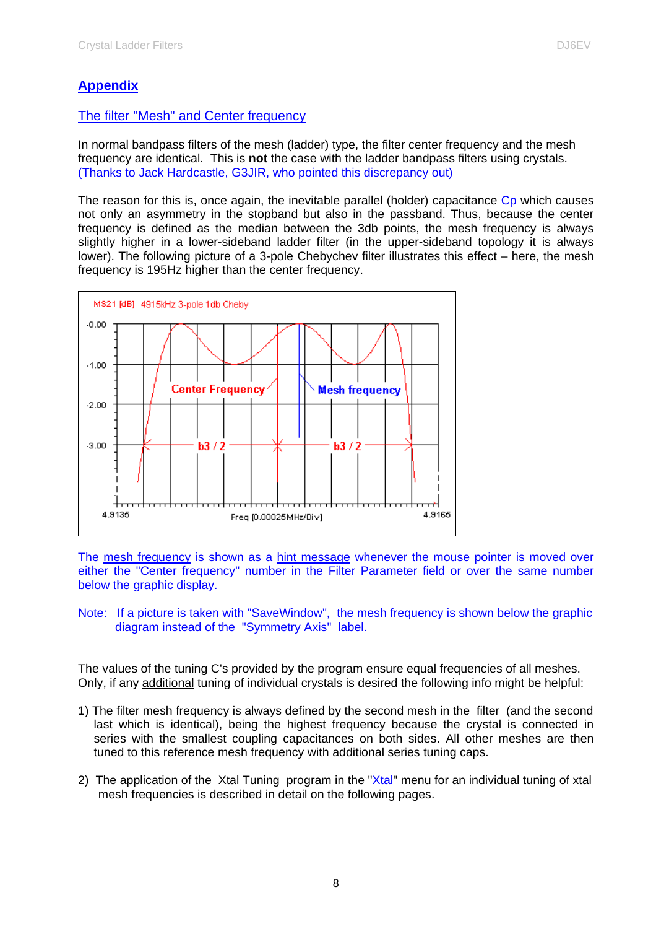## **Appendix**

### The filter "Mesh" and Center frequency

In normal bandpass filters of the mesh (ladder) type, the filter center frequency and the mesh frequency are identical. This is **not** the case with the ladder bandpass filters using crystals. (Thanks to Jack Hardcastle, G3JIR, who pointed this discrepancy out)

The reason for this is, once again, the inevitable parallel (holder) capacitance Cp which causes not only an asymmetry in the stopband but also in the passband. Thus, because the center frequency is defined as the median between the 3db points, the mesh frequency is always slightly higher in a lower-sideband ladder filter (in the upper-sideband topology it is always lower). The following picture of a 3-pole Chebychev filter illustrates this effect – here, the mesh frequency is 195Hz higher than the center frequency.



The mesh frequency is shown as a hint message whenever the mouse pointer is moved over either the "Center frequency" number in the Filter Parameter field or over the same number below the graphic display.

Note: If a picture is taken with "SaveWindow", the mesh frequency is shown below the graphic diagram instead of the "Symmetry Axis" label.

The values of the tuning C's provided by the program ensure equal frequencies of all meshes. Only, if any additional tuning of individual crystals is desired the following info might be helpful:

- 1) The filter mesh frequency is always defined by the second mesh in the filter (and the second last which is identical), being the highest frequency because the crystal is connected in series with the smallest coupling capacitances on both sides. All other meshes are then tuned to this reference mesh frequency with additional series tuning caps.
- 2) The application of the Xtal Tuning program in the "Xtal" menu for an individual tuning of xtal mesh frequencies is described in detail on the following pages.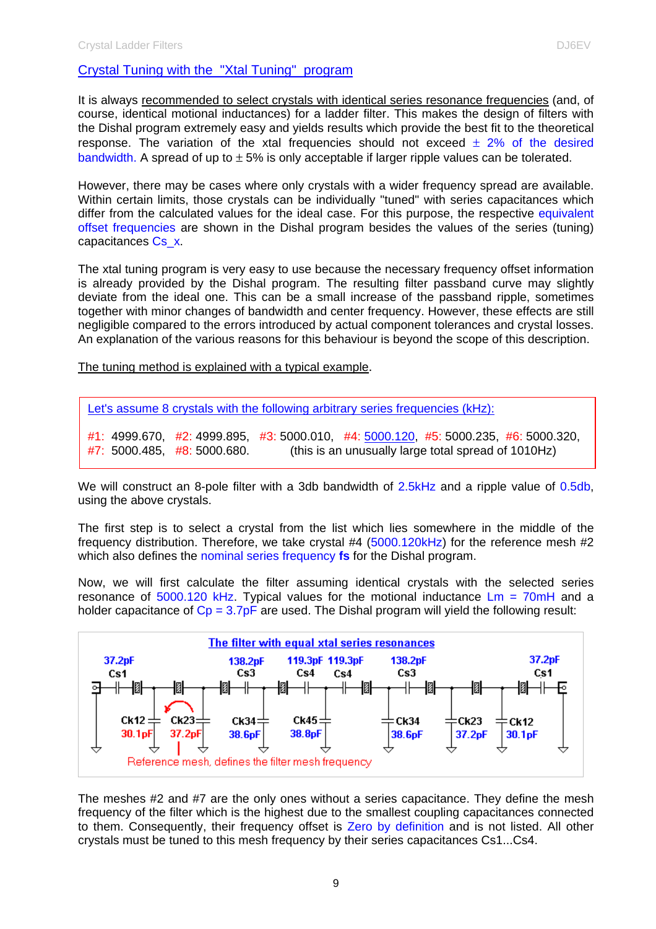### Crystal Tuning with the "Xtal Tuning" program

It is always recommended to select crystals with identical series resonance frequencies (and, of course, identical motional inductances) for a ladder filter. This makes the design of filters with the Dishal program extremely easy and yields results which provide the best fit to the theoretical response. The variation of the xtal frequencies should not exceed  $\pm$  2% of the desired bandwidth. A spread of up to  $\pm$  5% is only acceptable if larger ripple values can be tolerated.

However, there may be cases where only crystals with a wider frequency spread are available. Within certain limits, those crystals can be individually "tuned" with series capacitances which differ from the calculated values for the ideal case. For this purpose, the respective equivalent offset frequencies are shown in the Dishal program besides the values of the series (tuning) capacitances Cs\_x.

The xtal tuning program is very easy to use because the necessary frequency offset information is already provided by the Dishal program. The resulting filter passband curve may slightly deviate from the ideal one. This can be a small increase of the passband ripple, sometimes together with minor changes of bandwidth and center frequency. However, these effects are still negligible compared to the errors introduced by actual component tolerances and crystal losses. An explanation of the various reasons for this behaviour is beyond the scope of this description.

The tuning method is explained with a typical example.

| Let's assume 8 crystals with the following arbitrary series frequencies (kHz): |  |
|--------------------------------------------------------------------------------|--|
|--------------------------------------------------------------------------------|--|

#1: 4999.670, #2: 4999.895, #3: 5000.010, #4: 5000.120, #5: 5000.235, #6: 5000.320,  $#7: 5000.485, #8: 5000.680.$  (this is an unusually large total spread of 1010Hz)

We will construct an 8-pole filter with a 3db bandwidth of 2.5kHz and a ripple value of 0.5db, using the above crystals.

The first step is to select a crystal from the list which lies somewhere in the middle of the frequency distribution. Therefore, we take crystal #4 (5000.120kHz) for the reference mesh #2 which also defines the nominal series frequency **fs** for the Dishal program.

Now, we will first calculate the filter assuming identical crystals with the selected series resonance of  $5000.120$  kHz. Typical values for the motional inductance  $\text{Lm} = 70 \text{mH}$  and a holder capacitance of  $C_p = 3.7pF$  are used. The Dishal program will yield the following result:



The meshes #2 and #7 are the only ones without a series capacitance. They define the mesh frequency of the filter which is the highest due to the smallest coupling capacitances connected to them. Consequently, their frequency offset is Zero by definition and is not listed. All other crystals must be tuned to this mesh frequency by their series capacitances Cs1...Cs4.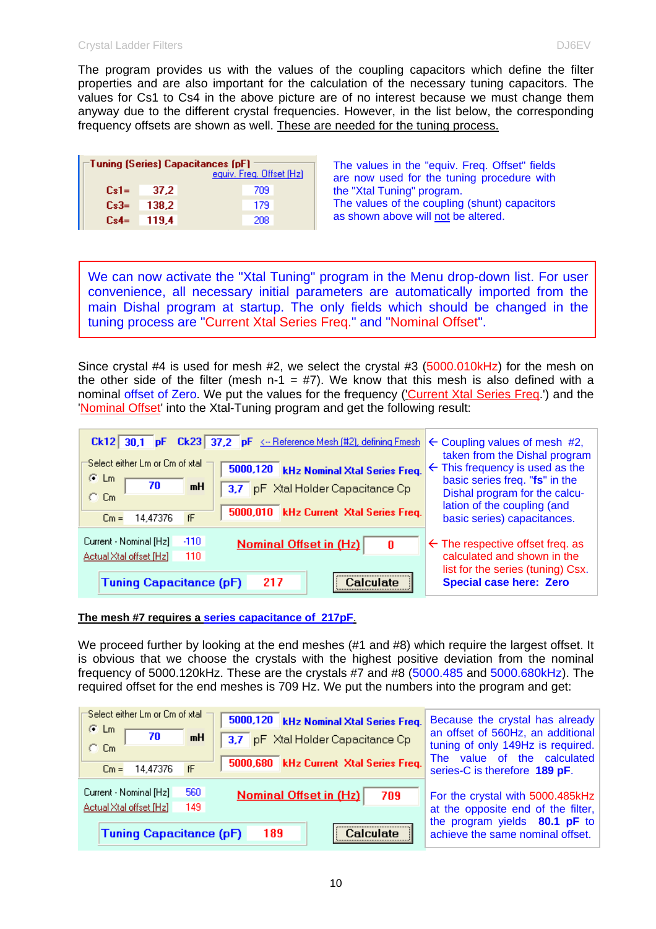The program provides us with the values of the coupling capacitors which define the filter properties and are also important for the calculation of the necessary tuning capacitors. The values for Cs1 to Cs4 in the above picture are of no interest because we must change them anyway due to the different crystal frequencies. However, in the list below, the corresponding frequency offsets are shown as well. These are needed for the tuning process.

| Tuning (Series) Capacitances (pF) |       |     |  |  |  |  |
|-----------------------------------|-------|-----|--|--|--|--|
| equiv. Freq. Offset (Hz)          |       |     |  |  |  |  |
| $Cs1 =$                           | 37.2  | 709 |  |  |  |  |
| $Cs3=$                            | 138.2 | 179 |  |  |  |  |
| $Cs4=$                            | 119.4 | 208 |  |  |  |  |

The values in the "equiv. Freq. Offset" fields are now used for the tuning procedure with the "Xtal Tuning" program. The values of the coupling (shunt) capacitors as shown above will not be altered.

We can now activate the "Xtal Tuning" program in the Menu drop-down list. For user convenience, all necessary initial parameters are automatically imported from the main Dishal program at startup. The only fields which should be changed in the tuning process are "Current Xtal Series Freq." and "Nominal Offset".

Since crystal #4 is used for mesh #2, we select the crystal #3 (5000.010kHz) for the mesh on the other side of the filter (mesh n-1 = #7). We know that this mesh is also defined with a nominal offset of Zero. We put the values for the frequency ('Current Xtal Series Freq.') and the 'Nominal Offset' into the Xtal-Tuning program and get the following result:

| Ck12 30,1 pF Ck23 37,2 pF <-- Reference Mesh (#2), defining Fmesh<br>Select either Lm or Cm of xtal.<br>5000,120 kHz Nominal Xtal Series Freq.<br>$G$ Lm<br>70<br>mH<br>3,7 pF Xtal Holder Capacitance Cp<br>C. Cm<br>5000,010 kHz Current Xtal Series Freq.<br>fF<br>14,47376<br>$Cm =$ | $\leftarrow$ Coupling values of mesh #2,<br>taken from the Dishal program<br>$\leftarrow$ This frequency is used as the<br>basic series freq. "fs" in the<br>Dishal program for the calcu-<br>lation of the coupling (and<br>basic series) capacitances. |  |  |
|------------------------------------------------------------------------------------------------------------------------------------------------------------------------------------------------------------------------------------------------------------------------------------------|----------------------------------------------------------------------------------------------------------------------------------------------------------------------------------------------------------------------------------------------------------|--|--|
| $-110$<br>Current - Nominal [Hz]<br><b>Nominal Offset in (Hz)</b><br>0<br>Actual Xtal offset [Hz]<br>110<br><b>Tuning Capacitance (pF)</b><br>217<br>∩alculate.                                                                                                                          | $\leftarrow$ The respective offset freq. as<br>calculated and shown in the<br>list for the series (tuning) Csx.<br><b>Special case here: Zero</b>                                                                                                        |  |  |

### **The mesh #7 requires a series capacitance of 217pF**.

We proceed further by looking at the end meshes (#1 and #8) which require the largest offset. It is obvious that we choose the crystals with the highest positive deviation from the nominal frequency of 5000.120kHz. These are the crystals #7 and #8 (5000.485 and 5000.680kHz). The required offset for the end meshes is 709 Hz. We put the numbers into the program and get:

| Select either Lm or Cm of xtal.<br>$F$ Lm<br>70<br>mH<br>O Cm.  | 5000,120 kHz Nominal Xtal Series Freq.<br>3,7 pF Xtal Holder Capacitance Cp | Because the crystal has already<br>an offset of 560Hz, an additional<br>tuning of only 149Hz is required. |  |  |
|-----------------------------------------------------------------|-----------------------------------------------------------------------------|-----------------------------------------------------------------------------------------------------------|--|--|
| 14,47376<br>fF<br>$Cm =$                                        | 5000,680 kHz Current Xtal Series Freq.                                      | The value of the calculated<br>series-C is therefore 189 pF.                                              |  |  |
| 560<br>Current - Nominal [Hz]<br>149<br>Actual Xtal offset [Hz] | <b>Nominal Offset in (Hz)</b><br>709                                        | For the crystal with 5000.485kHz<br>at the opposite end of the filter,                                    |  |  |
| <b>Tuning Capacitance (pF)</b>                                  | Calculate<br>189                                                            | the program yields 80.1 pF to<br>achieve the same nominal offset.                                         |  |  |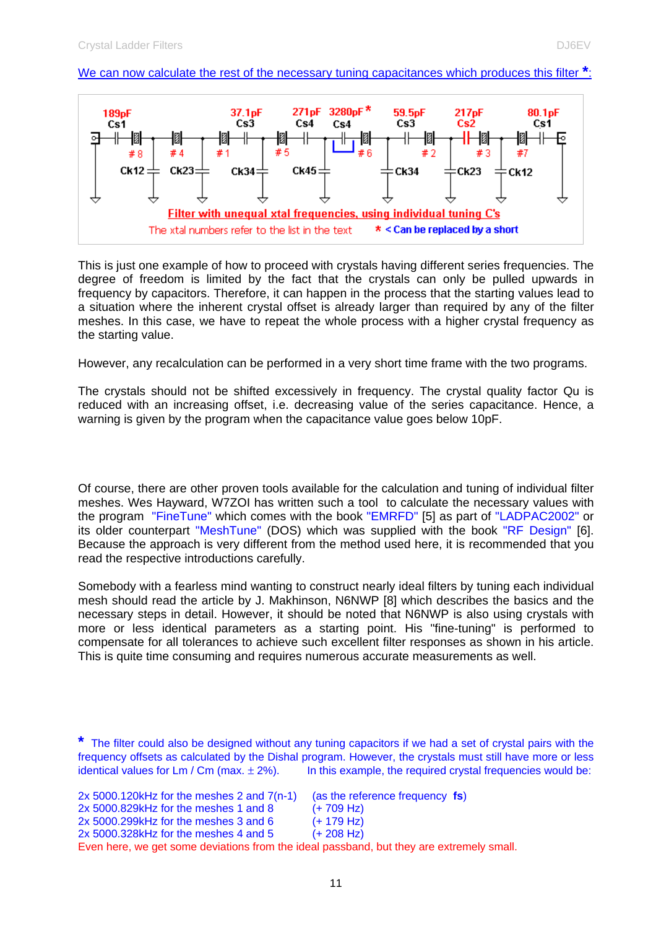### We can now calculate the rest of the necessary tuning capacitances which produces this filter **\***:



This is just one example of how to proceed with crystals having different series frequencies. The degree of freedom is limited by the fact that the crystals can only be pulled upwards in frequency by capacitors. Therefore, it can happen in the process that the starting values lead to a situation where the inherent crystal offset is already larger than required by any of the filter meshes. In this case, we have to repeat the whole process with a higher crystal frequency as the starting value.

However, any recalculation can be performed in a very short time frame with the two programs.

The crystals should not be shifted excessively in frequency. The crystal quality factor Qu is reduced with an increasing offset, i.e. decreasing value of the series capacitance. Hence, a warning is given by the program when the capacitance value goes below 10pF.

Of course, there are other proven tools available for the calculation and tuning of individual filter meshes. Wes Hayward, W7ZOI has written such a tool to calculate the necessary values with the program "FineTune" which comes with the book "EMRFD" [5] as part of "LADPAC2002" or its older counterpart "MeshTune" (DOS) which was supplied with the book "RF Design" [6]. Because the approach is very different from the method used here, it is recommended that you read the respective introductions carefully.

Somebody with a fearless mind wanting to construct nearly ideal filters by tuning each individual mesh should read the article by J. Makhinson, N6NWP [8] which describes the basics and the necessary steps in detail. However, it should be noted that N6NWP is also using crystals with more or less identical parameters as a starting point. His "fine-tuning" is performed to compensate for all tolerances to achieve such excellent filter responses as shown in his article. This is quite time consuming and requires numerous accurate measurements as well.

**<sup>\*</sup>** The filter could also be designed without any tuning capacitors if we had a set of crystal pairs with the frequency offsets as calculated by the Dishal program. However, the crystals must still have more or less identical values for  $\textsf{Lm}$  /  $\textsf{Cm}$  (max.  $\pm$  2%). In this example, the required crystal frequencies would be:

| $2x 5000.120kHz$ for the meshes 2 and $7(n-1)$ | (as the reference frequency fs)                                                          |
|------------------------------------------------|------------------------------------------------------------------------------------------|
| 2x 5000.829kHz for the meshes 1 and 8          | $(+ 709$ Hz)                                                                             |
| $2x\,5000.299$ kHz for the meshes 3 and 6      | $(+ 179$ Hz)                                                                             |
| $2x\,5000.328$ kHz for the meshes 4 and 5      | $(+ 208$ Hz)                                                                             |
|                                                | Even here, we get some deviations from the ideal passband, but they are extremely small. |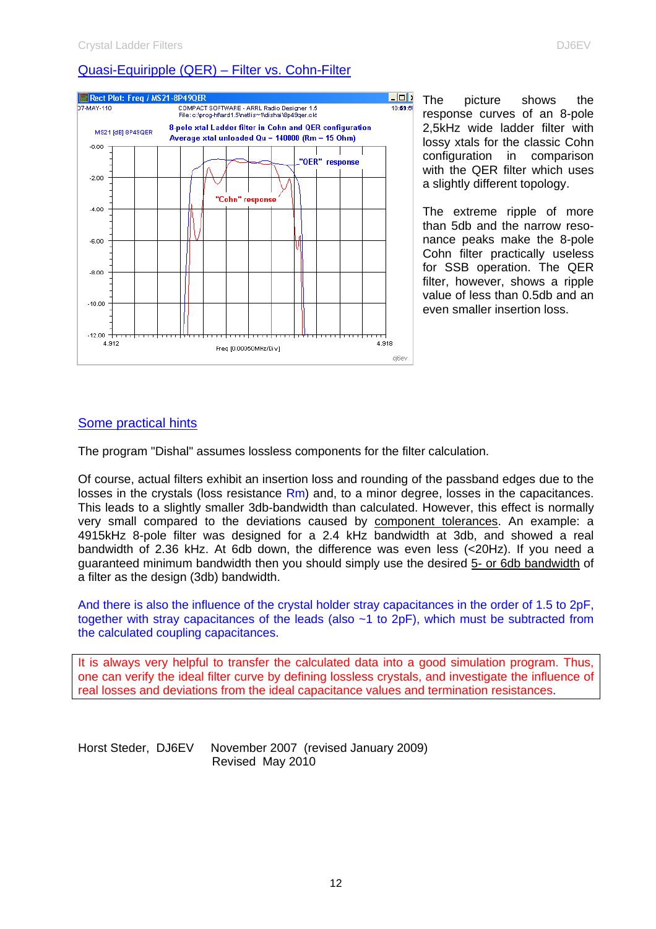### Quasi-Equiripple (QER) – Filter vs. Cohn-Filter



The picture shows the response curves of an 8-pole 2,5kHz wide ladder filter with lossy xtals for the classic Cohn configuration in comparison with the QER filter which uses a slightly different topology.

The extreme ripple of more than 5db and the narrow resonance peaks make the 8-pole Cohn filter practically useless for SSB operation. The QER filter, however, shows a ripple value of less than 0.5db and an even smaller insertion loss.

### Some practical hints

The program "Dishal" assumes lossless components for the filter calculation.

Of course, actual filters exhibit an insertion loss and rounding of the passband edges due to the losses in the crystals (loss resistance Rm) and, to a minor degree, losses in the capacitances. This leads to a slightly smaller 3db-bandwidth than calculated. However, this effect is normally very small compared to the deviations caused by component tolerances. An example: a 4915kHz 8-pole filter was designed for a 2.4 kHz bandwidth at 3db, and showed a real bandwidth of 2.36 kHz. At 6db down, the difference was even less (<20Hz). If you need a guaranteed minimum bandwidth then you should simply use the desired 5- or 6db bandwidth of a filter as the design (3db) bandwidth.

And there is also the influence of the crystal holder stray capacitances in the order of 1.5 to 2pF, together with stray capacitances of the leads (also ~1 to 2pF), which must be subtracted from the calculated coupling capacitances.

It is always very helpful to transfer the calculated data into a good simulation program. Thus, one can verify the ideal filter curve by defining lossless crystals, and investigate the influence of real losses and deviations from the ideal capacitance values and termination resistances.

Horst Steder, DJ6EV November 2007 (revised January 2009) Revised May 2010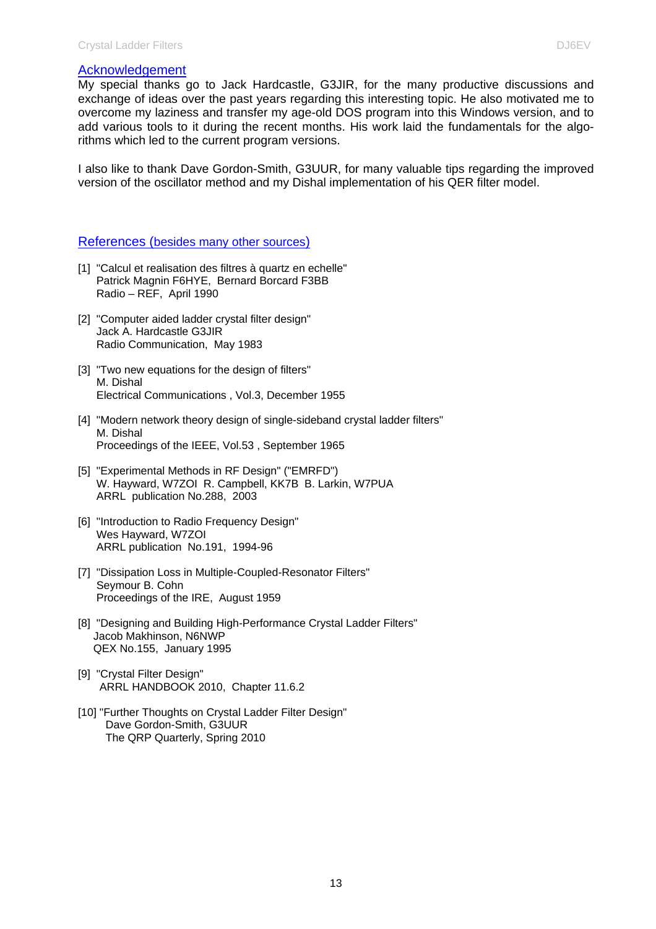#### Acknowledgement

My special thanks go to Jack Hardcastle, G3JIR, for the many productive discussions and exchange of ideas over the past years regarding this interesting topic. He also motivated me to overcome my laziness and transfer my age-old DOS program into this Windows version, and to add various tools to it during the recent months. His work laid the fundamentals for the algorithms which led to the current program versions.

I also like to thank Dave Gordon-Smith, G3UUR, for many valuable tips regarding the improved version of the oscillator method and my Dishal implementation of his QER filter model.

#### References (besides many other sources)

- [1] "Calcul et realisation des filtres à quartz en echelle" Patrick Magnin F6HYE, Bernard Borcard F3BB Radio – REF, April 1990
- [2] "Computer aided ladder crystal filter design" Jack A. Hardcastle G3JIR Radio Communication, May 1983
- [3] "Two new equations for the design of filters" M. Dishal Electrical Communications , Vol.3, December 1955
- [4] "Modern network theory design of single-sideband crystal ladder filters" M. Dishal Proceedings of the IEEE, Vol.53 , September 1965
- [5] "Experimental Methods in RF Design" ("EMRFD") W. Hayward, W7ZOI R. Campbell, KK7B B. Larkin, W7PUA ARRL publication No.288, 2003
- [6] "Introduction to Radio Frequency Design" Wes Hayward, W7ZOI ARRL publication No.191, 1994-96
- [7] "Dissipation Loss in Multiple-Coupled-Resonator Filters" Seymour B. Cohn Proceedings of the IRE, August 1959
- [8] "Designing and Building High-Performance Crystal Ladder Filters" Jacob Makhinson, N6NWP QEX No.155, January 1995
- [9] "Crystal Filter Design" ARRL HANDBOOK 2010, Chapter 11.6.2
- [10] "Further Thoughts on Crystal Ladder Filter Design" Dave Gordon-Smith, G3UUR The QRP Quarterly, Spring 2010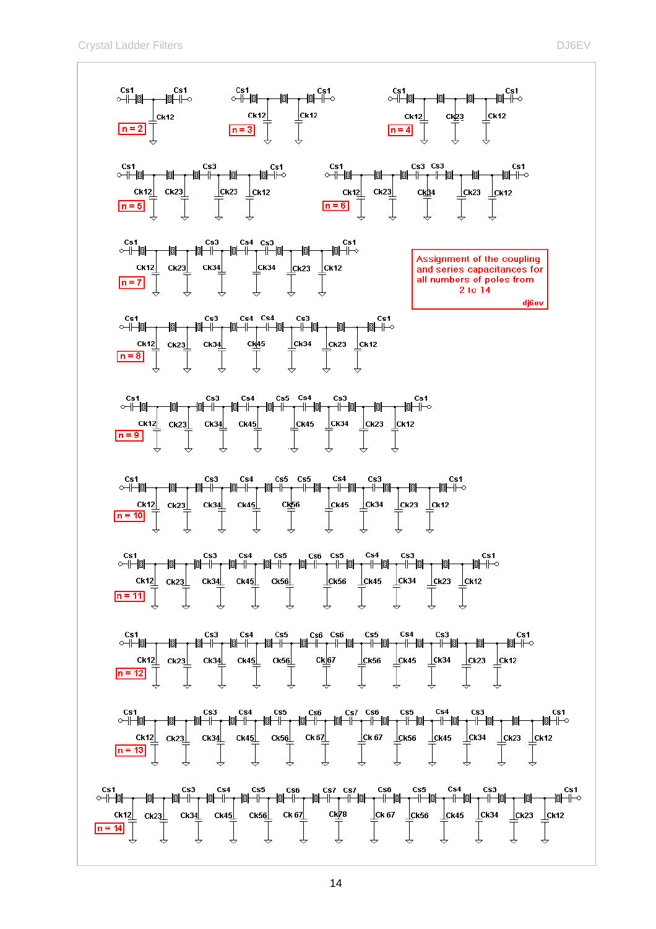Crystal Ladder Filters **DJ6EV** and the control of the control of the control of the control of the control of the control of the control of the control of the control of the control of the control of the control of the con

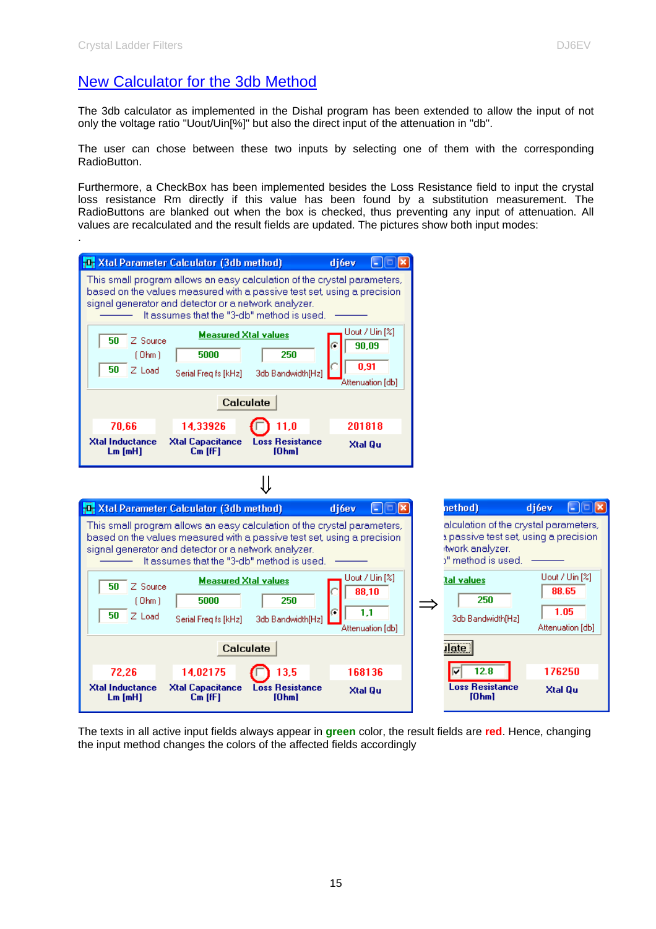# New Calculator for the 3db Method

The 3db calculator as implemented in the Dishal program has been extended to allow the input of not only the voltage ratio "Uout/Uin[%]" but also the direct input of the attenuation in "db".

The user can chose between these two inputs by selecting one of them with the corresponding RadioButton.

Furthermore, a CheckBox has been implemented besides the Loss Resistance field to input the crystal loss resistance Rm directly if this value has been found by a substitution measurement. The RadioButtons are blanked out when the box is checked, thus preventing any input of attenuation. All values are recalculated and the result fields are updated. The pictures show both input modes:



The texts in all active input fields always appear in **green** color, the result fields are **red**. Hence, changing the input method changes the colors of the affected fields accordingly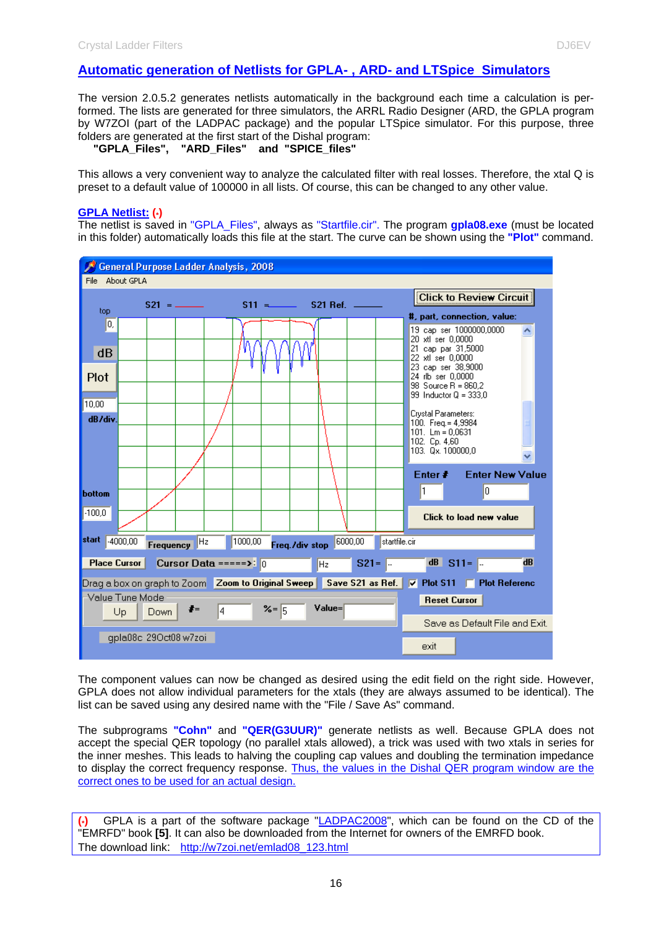### **Automatic generation of Netlists for GPLA- , ARD- and LTSpice Simulators**

The version 2.0.5.2 generates netlists automatically in the background each time a calculation is performed. The lists are generated for three simulators, the ARRL Radio Designer (ARD, the GPLA program by W7ZOI (part of the LADPAC package) and the popular LTSpice simulator. For this purpose, three folders are generated at the first start of the Dishal program:

 **"GPLA\_Files", "ARD\_Files" and "SPICE\_files"**

This allows a very convenient way to analyze the calculated filter with real losses. Therefore, the xtal Q is preset to a default value of 100000 in all lists. Of course, this can be changed to any other value.

#### **GPLA Netlist: (\*)**

The netlist is saved in "GPLA\_Files", always as "Startfile.cir". The program **gpla08.exe** (must be located in this folder) automatically loads this file at the start. The curve can be shown using the **"Plot"** command.



The component values can now be changed as desired using the edit field on the right side. However, GPLA does not allow individual parameters for the xtals (they are always assumed to be identical). The list can be saved using any desired name with the "File / Save As" command.

The subprograms **"Cohn"** and **"QER(G3UUR)"** generate netlists as well. Because GPLA does not accept the special QER topology (no parallel xtals allowed), a trick was used with two xtals in series for the inner meshes. This leads to halving the coupling cap values and doubling the termination impedance to display the correct frequency response. Thus, the values in the Dishal QER program window are the correct ones to be used for an actual design.

GPLA is a part of the software package "LADPAC2008", which can be found on the CD of the "EMRFD" book **[5]**. It can also be downloaded from the Internet for owners of the EMRFD book. The download link: http://w7zoi.net/emlad08\_123.html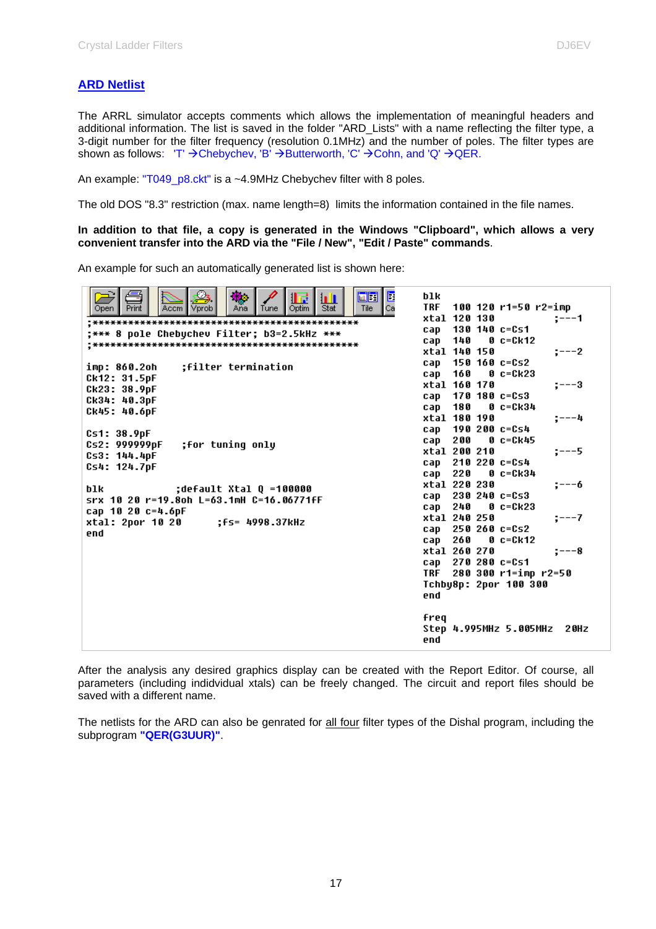The ARRL simulator accepts comments which allows the implementation of meaningful headers and additional information. The list is saved in the folder "ARD\_Lists" with a name reflecting the filter type, a 3-digit number for the filter frequency (resolution 0.1MHz) and the number of poles. The filter types are shown as follows: 'T'  $\rightarrow$  Chebychev, 'B'  $\rightarrow$  Butterworth, 'C'  $\rightarrow$  Cohn, and 'Q'  $\rightarrow$  QER.

An example: "T049 p8.ckt" is a ~4.9MHz Chebychev filter with 8 poles.

The old DOS "8.3" restriction (max. name length=8) limits the information contained in the file names.

#### **In addition to that file, a copy is generated in the Windows "Clipboard", which allows a very convenient transfer into the ARD via the "File / New", "Edit / Paste" commands**.

An example for such an automatically generated list is shown here:

| xtal 120 130<br>:−−−1<br>130 140 c=Cs1<br>cap<br>*** 8 pole Chebuchev Filter; b3=2.5kHz ***;<br>140<br>$0 c = Ck12$<br>cap<br>xtal 140 150<br>;---2<br>150 160 c=Cs2<br>cap<br>:filter termination<br>imp: 860.2oh<br>160<br>$0 c = Ck23$<br>cap<br>Ck12: 31.5pF<br>xtal 160 170<br>$:---3$<br>Ck23: 38.9pF<br>$170$ $180$ $c = C$ 53<br>cap<br>Ck34: 40.3pF<br>180<br>0 c=Ck34<br>cap<br>Ck45: 40.6pF<br>xtal 180 190<br>---4<br>190 200 c=Cs4<br>cap<br>Cs1: 38.9pF<br>200<br>0 c=Ck45<br>cap<br>;for tuning only<br>Cs2: 999999pF<br>xtal 200 210<br>:---5<br>Cs3: 144.4pF<br>210 220 c=Cs4<br>cap<br>Cs4: 124.7pF<br>220<br>$0 c = Ck34$<br>cap<br>xtal 220 230<br>;−−−6<br>blk<br>:default Xtal Q =100000<br>$230240c = 0.53$<br>cap<br>srx 10 20 r=19.8oh L=63.1mH C=16.06771fF<br>$0 c = Ck23$<br>240<br>cap<br>cap 10 20 c=4.6pF<br>xtal 240 250<br>$:---7$<br>xtal: 2por 10 20<br>:fs= 4998.37kHz<br>250 260 c=Cs2<br>cap<br>end<br>260<br>$0 c = Ck12$<br>cap<br>xtal 260 270<br>$:---8$<br>270 280 c=Cs1<br>cap<br>280 300 r1=imp r2=50<br>TRF.<br>Tchby8p: 2por 100 300<br>end<br>freq<br>Step 4.995MHz 5.005MHz<br>2 OH Z | $\frac{\Box}{\Box}$<br>画团<br>11 d<br>ш<br>Stat<br>Print<br>Optim<br>Tile<br>Vprob<br>Tune<br>Accm<br>Ana<br>Open. | blk<br>TRF<br>100 120 r1=50 r2=imp |
|----------------------------------------------------------------------------------------------------------------------------------------------------------------------------------------------------------------------------------------------------------------------------------------------------------------------------------------------------------------------------------------------------------------------------------------------------------------------------------------------------------------------------------------------------------------------------------------------------------------------------------------------------------------------------------------------------------------------------------------------------------------------------------------------------------------------------------------------------------------------------------------------------------------------------------------------------------------------------------------------------------------------------------------------------------------------------------------------------------------------------------------|-------------------------------------------------------------------------------------------------------------------|------------------------------------|
|                                                                                                                                                                                                                                                                                                                                                                                                                                                                                                                                                                                                                                                                                                                                                                                                                                                                                                                                                                                                                                                                                                                                        |                                                                                                                   |                                    |
|                                                                                                                                                                                                                                                                                                                                                                                                                                                                                                                                                                                                                                                                                                                                                                                                                                                                                                                                                                                                                                                                                                                                        |                                                                                                                   |                                    |
|                                                                                                                                                                                                                                                                                                                                                                                                                                                                                                                                                                                                                                                                                                                                                                                                                                                                                                                                                                                                                                                                                                                                        |                                                                                                                   |                                    |
|                                                                                                                                                                                                                                                                                                                                                                                                                                                                                                                                                                                                                                                                                                                                                                                                                                                                                                                                                                                                                                                                                                                                        |                                                                                                                   |                                    |
|                                                                                                                                                                                                                                                                                                                                                                                                                                                                                                                                                                                                                                                                                                                                                                                                                                                                                                                                                                                                                                                                                                                                        |                                                                                                                   |                                    |
|                                                                                                                                                                                                                                                                                                                                                                                                                                                                                                                                                                                                                                                                                                                                                                                                                                                                                                                                                                                                                                                                                                                                        |                                                                                                                   |                                    |
|                                                                                                                                                                                                                                                                                                                                                                                                                                                                                                                                                                                                                                                                                                                                                                                                                                                                                                                                                                                                                                                                                                                                        |                                                                                                                   |                                    |
|                                                                                                                                                                                                                                                                                                                                                                                                                                                                                                                                                                                                                                                                                                                                                                                                                                                                                                                                                                                                                                                                                                                                        |                                                                                                                   |                                    |
|                                                                                                                                                                                                                                                                                                                                                                                                                                                                                                                                                                                                                                                                                                                                                                                                                                                                                                                                                                                                                                                                                                                                        |                                                                                                                   |                                    |
|                                                                                                                                                                                                                                                                                                                                                                                                                                                                                                                                                                                                                                                                                                                                                                                                                                                                                                                                                                                                                                                                                                                                        |                                                                                                                   |                                    |
|                                                                                                                                                                                                                                                                                                                                                                                                                                                                                                                                                                                                                                                                                                                                                                                                                                                                                                                                                                                                                                                                                                                                        |                                                                                                                   |                                    |
|                                                                                                                                                                                                                                                                                                                                                                                                                                                                                                                                                                                                                                                                                                                                                                                                                                                                                                                                                                                                                                                                                                                                        |                                                                                                                   |                                    |
|                                                                                                                                                                                                                                                                                                                                                                                                                                                                                                                                                                                                                                                                                                                                                                                                                                                                                                                                                                                                                                                                                                                                        |                                                                                                                   |                                    |
|                                                                                                                                                                                                                                                                                                                                                                                                                                                                                                                                                                                                                                                                                                                                                                                                                                                                                                                                                                                                                                                                                                                                        |                                                                                                                   |                                    |
|                                                                                                                                                                                                                                                                                                                                                                                                                                                                                                                                                                                                                                                                                                                                                                                                                                                                                                                                                                                                                                                                                                                                        |                                                                                                                   |                                    |
|                                                                                                                                                                                                                                                                                                                                                                                                                                                                                                                                                                                                                                                                                                                                                                                                                                                                                                                                                                                                                                                                                                                                        |                                                                                                                   |                                    |
|                                                                                                                                                                                                                                                                                                                                                                                                                                                                                                                                                                                                                                                                                                                                                                                                                                                                                                                                                                                                                                                                                                                                        |                                                                                                                   |                                    |
|                                                                                                                                                                                                                                                                                                                                                                                                                                                                                                                                                                                                                                                                                                                                                                                                                                                                                                                                                                                                                                                                                                                                        |                                                                                                                   |                                    |
|                                                                                                                                                                                                                                                                                                                                                                                                                                                                                                                                                                                                                                                                                                                                                                                                                                                                                                                                                                                                                                                                                                                                        |                                                                                                                   |                                    |
|                                                                                                                                                                                                                                                                                                                                                                                                                                                                                                                                                                                                                                                                                                                                                                                                                                                                                                                                                                                                                                                                                                                                        |                                                                                                                   |                                    |
|                                                                                                                                                                                                                                                                                                                                                                                                                                                                                                                                                                                                                                                                                                                                                                                                                                                                                                                                                                                                                                                                                                                                        |                                                                                                                   |                                    |
|                                                                                                                                                                                                                                                                                                                                                                                                                                                                                                                                                                                                                                                                                                                                                                                                                                                                                                                                                                                                                                                                                                                                        |                                                                                                                   |                                    |
|                                                                                                                                                                                                                                                                                                                                                                                                                                                                                                                                                                                                                                                                                                                                                                                                                                                                                                                                                                                                                                                                                                                                        |                                                                                                                   |                                    |
|                                                                                                                                                                                                                                                                                                                                                                                                                                                                                                                                                                                                                                                                                                                                                                                                                                                                                                                                                                                                                                                                                                                                        |                                                                                                                   |                                    |
|                                                                                                                                                                                                                                                                                                                                                                                                                                                                                                                                                                                                                                                                                                                                                                                                                                                                                                                                                                                                                                                                                                                                        |                                                                                                                   |                                    |
|                                                                                                                                                                                                                                                                                                                                                                                                                                                                                                                                                                                                                                                                                                                                                                                                                                                                                                                                                                                                                                                                                                                                        |                                                                                                                   |                                    |
|                                                                                                                                                                                                                                                                                                                                                                                                                                                                                                                                                                                                                                                                                                                                                                                                                                                                                                                                                                                                                                                                                                                                        |                                                                                                                   |                                    |
|                                                                                                                                                                                                                                                                                                                                                                                                                                                                                                                                                                                                                                                                                                                                                                                                                                                                                                                                                                                                                                                                                                                                        |                                                                                                                   |                                    |
|                                                                                                                                                                                                                                                                                                                                                                                                                                                                                                                                                                                                                                                                                                                                                                                                                                                                                                                                                                                                                                                                                                                                        |                                                                                                                   | end                                |

After the analysis any desired graphics display can be created with the Report Editor. Of course, all parameters (including indidvidual xtals) can be freely changed. The circuit and report files should be saved with a different name.

The netlists for the ARD can also be genrated for all four filter types of the Dishal program, including the subprogram **"QER(G3UUR)"**.